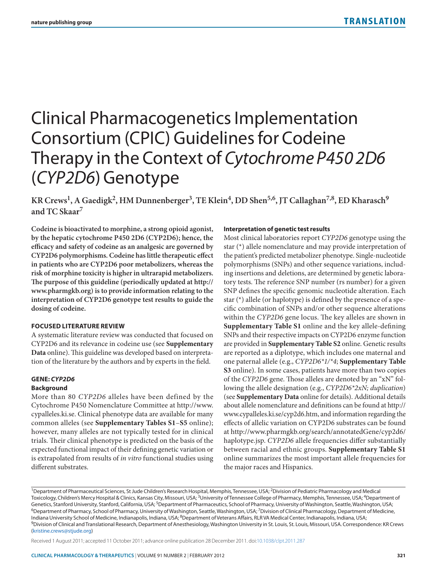# Clinical Pharmacogenetics Implementation Consortium (CPIC) Guidelines for Codeine Therapy in the Context of *Cytochrome P450 2D6* (*CYP2D6*) Genotype

**KR Crews1, A Gaedigk2, HM Dunnenberger3, TE Klein4, DD Shen5,6, JT Callaghan7,8, ED Kharasch9 and TC Skaar7**

**Codeine is bioactivated to morphine, a strong opioid agonist, by the hepatic cytochrome P450 2D6 (CYP2D6); hence, the efficacy and safety of codeine as an analgesic are governed by CYP2D6 polymorphisms. Codeine has little therapeutic effect in patients who are CYP2D6 poor metabolizers, whereas the risk of morphine toxicity is higher in ultrarapid metabolizers. The purpose of this guideline (periodically updated at [http://](http://www.pharmgkb.org) [www.pharmgkb.org\)](http://www.pharmgkb.org) is to provide information relating to the interpretation of CYP2D6 genotype test results to guide the dosing of codeine.**

#### **Focused Literature Review**

A systematic literature review was conducted that focused on CYP2D6 and its relevance in codeine use (see **Supplementary Data** online). This guideline was developed based on interpretation of the literature by the authors and by experts in the field.

#### **Gene:** *Cyp2d6*

## **Background**

More than 80 *CYP2D6* alleles have been defined by the Cytochrome P450 Nomenclature Committee at [http://www.](http://www.cypalleles.ki.se.) [cypalleles.ki.se.](http://www.cypalleles.ki.se.) Clinical phenotype data are available for many common alleles (see **Supplementary Tables S1**–**S5** online); however, many alleles are not typically tested for in clinical trials. Their clinical phenotype is predicted on the basis of the expected functional impact of their defining genetic variation or is extrapolated from results of *in vitro* functional studies using different substrates.

#### **Interpretation of genetic test results**

Most clinical laboratories report *CYP2D6* genotype using the star (\*) allele nomenclature and may provide interpretation of the patient's predicted metabolizer phenotype. Single-nucleotide polymorphisms (SNPs) and other sequence variations, including insertions and deletions, are determined by genetic laboratory tests. The reference SNP number (rs number) for a given SNP defines the specific genomic nucleotide alteration. Each star (\*) allele (or haplotype) is defined by the presence of a specific combination of SNPs and/or other sequence alterations within the *CYP2D6* gene locus. The key alleles are shown in **Supplementary Table S1** online and the key allele-defining SNPs and their respective impacts on CYP2D6 enzyme function are provided in **Supplementary Table S2** online. Genetic results are reported as a diplotype, which includes one maternal and one paternal allele (e.g., *CYP2D6\*1/\*4*; **Supplementary Table S3** online). In some cases, patients have more than two copies of the *CYP2D6* gene. Those alleles are denoted by an "xN" following the allele designation (e.g., *CYP2D6\*2xN; duplication*) (see **Supplementary Data** online for details). Additional details about allele nomenclature and definitions can be found at [http://](http://www.cypalleles.ki.se/cyp2d6.htm) [www.cypalleles.ki.se/cyp2d6.htm,](http://www.cypalleles.ki.se/cyp2d6.htm) and information regarding the effects of allelic variation on CYP2D6 substrates can be found at [http://www.pharmgkb.org/search/annotatedGene/cyp2d6/](http://www.pharmgkb.org/search/annotatedGene/cyp2d6/haplotype.jsp.) [haplotype.jsp.](http://www.pharmgkb.org/search/annotatedGene/cyp2d6/haplotype.jsp.) *CYP2D6* allele frequencies differ substantially between racial and ethnic groups. **Supplementary Table S1** online summarizes the most important allele frequencies for the major races and Hispanics.

Received 1 August 2011; accepted 11 October 2011; advance online publication 28 December 2011. [doi:10.1038/clpt.2011.287](http://www.nature.com/doifinder/10.1038/clpt.2011.287)

<sup>&</sup>lt;sup>1</sup>Department of Pharmaceutical Sciences, St Jude Children's Research Hospital, Memphis, Tennessee, USA; <sup>2</sup>Division of Pediatric Pharmacology and Medical Toxicology, Children's Mercy Hospital & Clinics, Kansas City, Missouri, USA; <sup>3</sup>University of Tennessee College of Pharmacy, Memphis, Tennessee, USA; <sup>4</sup>Department of Genetics, Stanford University, Stanford, California, USA; <sup>5</sup>Department of Pharmaceutics, School of Pharmacy, University of Washington, Seattle, Washington, USA;<br><sup>6</sup>Department of Pharmacy, School of Pharmacy, University of Indiana University School of Medicine, Indianapolis, Indiana, USA; <sup>8</sup>Department of Veterans Affairs, RLR VA Medical Center, Indianapolis, Indiana, USA;<br><sup>9</sup>Division of Clinical and Translational Research, Department of Ane ([kristine.crews@stjude.org](mailto:kristine.crews@stjude.org))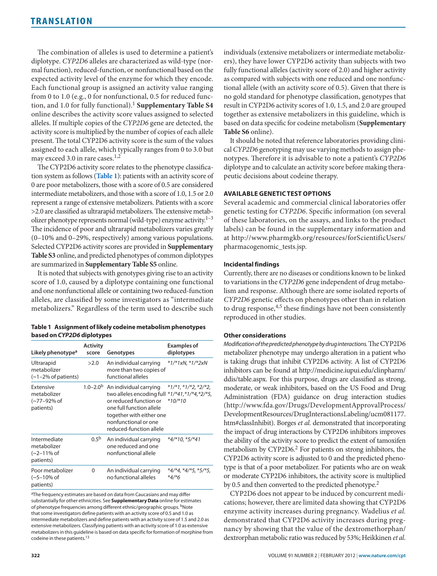The combination of alleles is used to determine a patient's diplotype. *CYP2D6* alleles are characterized as wild-type (normal function), reduced-function, or nonfunctional based on the expected activity level of the enzyme for which they encode. Each functional group is assigned an activity value ranging from 0 to 1.0 (e.g., 0 for nonfunctional, 0.5 for reduced function, and 1.0 for fully functional).1 **Supplementary Table S4** online describes the activity score values assigned to selected alleles. If multiple copies of the *CYP2D6* gene are detected, the activity score is multiplied by the number of copies of each allele present. The total CYP2D6 activity score is the sum of the values assigned to each allele, which typically ranges from 0 to 3.0 but may exceed 3.0 in rare cases.<sup>1,2</sup>

The CYP2D6 activity score relates to the phenotype classification system as follows (**[Table](#page-1-0) 1**): patients with an activity score of 0 are poor metabolizers, those with a score of 0.5 are considered intermediate metabolizers, and those with a score of 1.0, 1.5 or 2.0 represent a range of extensive metabolizers. Patients with a score >2.0 are classified as ultrarapid metabolizers. The extensive metabolizer phenotype represents normal (wild-type) enzyme activity. $1-3$ The incidence of poor and ultrarapid metabolizers varies greatly (0–10% and 0–29%, respectively) among various populations. Selected CYP2D6 activity scores are provided in **Supplementary Table S3** online, and predicted phenotypes of common diplotypes are summarized in **Supplementary Table S5** online.

It is noted that subjects with genotypes giving rise to an activity score of 1.0, caused by a diplotype containing one functional and one nonfunctional allele or containing two reduced-function alleles, are classified by some investigators as "intermediate metabolizers." Regardless of the term used to describe such

<span id="page-1-0"></span>

| Table 1 Assignment of likely codeine metabolism phenotypes |
|------------------------------------------------------------|
| based on CYP2D6 diplotypes                                 |

| Likely phenotype <sup>a</sup>                               | <b>Activity</b><br>score | Genotypes                                                                                                                                                                                                                            | <b>Examples of</b><br>diplotypes    |
|-------------------------------------------------------------|--------------------------|--------------------------------------------------------------------------------------------------------------------------------------------------------------------------------------------------------------------------------------|-------------------------------------|
| Ultrarapid<br>metabolizer<br>$(-1-2%$ of patients)          | >2.0                     | An individual carrying<br>more than two copies of<br>functional alleles                                                                                                                                                              | *1/*1xN, *1/*2xN                    |
| Extensive<br>metabolizer<br>(~77–92% of<br>patients)        |                          | 1.0-2.0 <sup>b</sup> An individual carrying<br>two alleles encoding full $*1/*41,*1/*4,*2/*5$ ,<br>or reduced function or<br>one full function allele<br>together with either one<br>nonfunctional or one<br>reduced-function allele | $*1/*1, *1/*2, *2/*2,$<br>$*10/*10$ |
| Intermediate<br>metabolizer<br>$(-2 - 11\%$ of<br>patients) | $0.5^{b}$                | An individual carrying<br>one reduced and one<br>nonfunctional allele                                                                                                                                                                | $*4/*10$ , $*5/*41$                 |
| Poor metabolizer<br>(∼5–10% of<br>patients)                 | 0                        | An individual carrying<br>no functional alleles                                                                                                                                                                                      | $*4$ /*4, *4/*5, *5/*5,<br>$*4/*6$  |

<sup>a</sup>The frequency estimates are based on data from Caucasians and may differ substantially for other ethnicities. See **Supplementary Data** online for estimates of phenotype frequencies among different ethnic/geographic groups. <sup>b</sup>Note that some investigators define patients with an activity score of 0.5 and 1.0 as intermediate metabolizers and define patients with an activity score of 1.5 and 2.0 as extensive metabolizers. Classifying patients with an activity score of 1.0 as extensive metabolizers in this guideline is based on data specific for formation of morphine from codeine in these patients.<sup>13</sup>

individuals (extensive metabolizers or intermediate metabolizers), they have lower CYP2D6 activity than subjects with two fully functional alleles (activity score of 2.0) and higher activity as compared with subjects with one reduced and one nonfunctional allele (with an activity score of 0.5). Given that there is no gold standard for phenotype classification, genotypes that result in CYP2D6 activity scores of 1.0, 1.5, and 2.0 are grouped together as extensive metabolizers in this guideline, which is based on data specific for codeine metabolism (**Supplementary Table S6** online).

It should be noted that reference laboratories providing clinical *CYP2D6* genotyping may use varying methods to assign phenotypes. Therefore it is advisable to note a patient's *CYP2D6* diplotype and to calculate an activity score before making therapeutic decisions about codeine therapy.

## **Available Genetic Test Options**

Several academic and commercial clinical laboratories offer genetic testing for *CYP2D6*. Specific information (on several of these laboratories, on the assays, and links to the product labels) can be found in the supplementary information and at [http://www.pharmgkb.org/resources/forScientificUsers/](http://www.pharmgkb.org/resources/forScientificUsers/
pharmacogenomic_tests.jsp.) [pharmacogenomic\\_tests.jsp.](http://www.pharmgkb.org/resources/forScientificUsers/
pharmacogenomic_tests.jsp.)

## **Incidental findings**

Currently, there are no diseases or conditions known to be linked to variations in the *CYP2D6* gene independent of drug metabolism and response. Although there are some isolated reports of *CYP2D6* genetic effects on phenotypes other than in relation to drug response,<sup>4,5</sup> these findings have not been consistently reproduced in other studies.

## **Other considerations**

*Modification of the predicted phenotype by drug interactions.* The CYP2D6 metabolizer phenotype may undergo alteration in a patient who is taking drugs that inhibit CYP2D6 activity. A list of CYP2D6 inhibitors can be found at [http://medicine.iupui.edu/clinpharm/](http://medicine.iupui.edu/clinpharm/ddis/table.aspx.) [ddis/table.aspx.](http://medicine.iupui.edu/clinpharm/ddis/table.aspx.) For this purpose, drugs are classified as strong, moderate, or weak inhibitors, based on the US Food and Drug Administration (FDA) guidance on drug interaction studies ([http://www.fda.gov/Drugs/DevelopmentApprovalProcess/](http://www.fda.gov/Drugs/DevelopmentApprovalProcess/DevelopmentResources/DrugInteractionsLabeling/ucm081177.htm#classInhibit).) [DevelopmentResources/DrugInteractionsLabeling/ucm081177.](http://www.fda.gov/Drugs/DevelopmentApprovalProcess/DevelopmentResources/DrugInteractionsLabeling/ucm081177.htm#classInhibit).) [htm#classInhibit\).](http://www.fda.gov/Drugs/DevelopmentApprovalProcess/DevelopmentResources/DrugInteractionsLabeling/ucm081177.htm#classInhibit).) Borges *et al.* demonstrated that incorporating the impact of drug interactions by CYP2D6 inhibitors improves the ability of the activity score to predict the extent of tamoxifen metabolism by CYP2D6.<sup>2</sup> For patients on strong inhibitors, the CYP2D6 activity score is adjusted to 0 and the predicted phenotype is that of a poor metabolizer. For patients who are on weak or moderate CYP2D6 inhibitors, the activity score is multiplied by 0.5 and then converted to the predicted phenotype.<sup>2</sup>

CYP2D6 does not appear to be induced by concurrent medications; however, there are limited data showing that CYP2D6 enzyme activity increases during pregnancy. Wadelius *et al.* demonstrated that CYP2D6 activity increases during pregnancy by showing that the value of the dextromethorphan/ dextrorphan metabolic ratio was reduced by 53%; Heikkinen *et al*.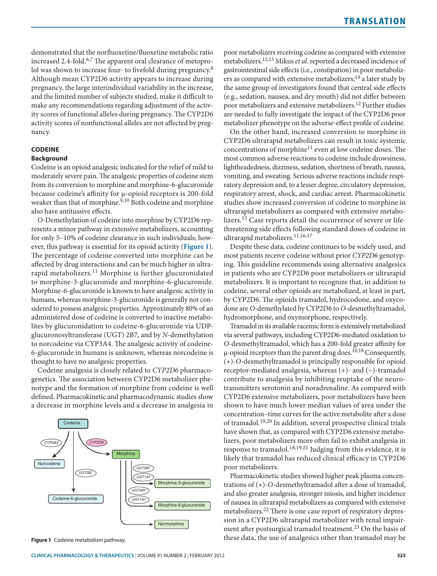demonstrated that the norfluoxetine/fluoxetine metabolic ratio increased 2.4-fold.<sup>6,7</sup> The apparent oral clearance of metoprolol was shown to increase four- to fivefold during pregnancy.<sup>8</sup> Although mean CYP2D6 activity appears to increase during pregnancy, the large interindividual variability in the increase, and the limited number of subjects studied, make it difficult to make any recommendations regarding adjustment of the activity scores of functional alleles during pregnancy. The CYP2D6 activity scores of nonfunctional alleles are not affected by pregnancy.

#### **Codeine**

## **Background**

Codeine is an opioid analgesic indicated for the relief of mild to moderately severe pain. The analgesic properties of codeine stem from its conversion to morphine and morphine-6-glucuronide because codeine's affinity for µ-opioid receptors is 200-fold weaker than that of morphine.<sup>9,10</sup> Both codeine and morphine also have antitussive effects.

*O*-Demethylation of codeine into morphine by CYP2D6 represents a minor pathway in extensive metabolizers, accounting for only 5–10% of codeine clearance in such individuals; however, this pathway is essential for its opioid activity (**[Figure](#page-2-0) 1**). The percentage of codeine converted into morphine can be affected by drug interactions and can be much higher in ultrarapid metabolizers.<sup>11</sup> Morphine is further glucuronidated to morphine-3-glucuronide and morphine-6-glucuronide. Morphine-6-glucuronide is known to have analgesic activity in humans, whereas morphine-3-glucuronide is generally not considered to possess analgesic properties. Approximately 80% of an administered dose of codeine is converted to inactive metabolites by glucuronidation to codeine-6-glucuronide via UDPglucuronosyltransferase (UGT) 2B7, and by *N*-demethylation to norcodeine via CYP3A4. The analgesic activity of codeine-6-glucuronide in humans is unknown, whereas norcodeine is thought to have no analgesic properties.

Codeine analgesia is closely related to *CYP2D6* pharmacogenetics. The association between CYP2D6 metabolizer phenotype and the formation of morphine from codeine is well defined. Pharmacokinetic and pharmacodynamic studies show a decrease in morphine levels and a decrease in analgesia in

<span id="page-2-0"></span>

**Figure 1** Codeine metabolism pathway.

poor metabolizers receiving codeine as compared with extensive metabolizers.12,13 Mikus *et al*. reported a decreased incidence of gastrointestinal side effects (i.e., constipation) in poor metabolizers as compared with extensive metabolizers;<sup>14</sup> a later study by the same group of investigators found that central side effects (e.g., sedation, nausea, and dry mouth) did not differ between poor metabolizers and extensive metabolizers.12 Further studies are needed to fully investigate the impact of the CYP2D6 poor metabolizer phenotype on the adverse-effect profile of codeine.

On the other hand, increased conversion to morphine in CYP2D6 ultrarapid metabolizers can result in toxic systemic concentrations of morphine<sup>11</sup> even at low codeine doses. The most common adverse reactions to codeine include drowsiness, lightheadedness, dizziness, sedation, shortness of breath, nausea, vomiting, and sweating. Serious adverse reactions include respiratory depression and, to a lesser degree, circulatory depression, respiratory arrest, shock, and cardiac arrest. Pharmacokinetic studies show increased conversion of codeine to morphine in ultrarapid metabolizers as compared with extensive metabolizers.<sup>15</sup> Case reports detail the occurrence of severe or lifethreatening side effects following standard doses of codeine in ultrarapid metabolizers.<sup>11,16,17</sup>

Despite these data, codeine continues to be widely used, and most patients receive codeine without prior *CYP2D6* genotyping. This guideline recommends using alternative analgesics in patients who are CYP2D6 poor metabolizers or ultrarapid metabolizers. It is important to recognize that, in addition to codeine, several other opioids are metabolized, at least in part, by CYP2D6. The opioids tramadol, hydrocodone, and oxycodone are *O*-demethylated by CYP2D6 to *O*-desmethyltramadol, hydromorphone, and oxymorphone, respectively.

Tramadol in its available racemic form is extensively metabolized via several pathways, including CYP2D6-mediated oxidation to *O*-desmethyltramadol, which has a 200-fold greater affinity for  $\mu$ -opioid receptors than the parent drug does.<sup>10,18</sup> Consequently, (+)-*O*-desmethyltramadol is principally responsible for opioid receptor-mediated analgesia, whereas (+)- and (−)-tramadol contribute to analgesia by inhibiting reuptake of the neurotransmitters serotonin and noradrenaline. As compared with CYP2D6 extensive metabolizers, poor metabolizers have been shown to have much lower median values of area under the concentration–time curves for the active metabolite after a dose of tramadol.19,20 In addition, several prospective clinical trials have shown that, as compared with CYP2D6 extensive metabolizers, poor metabolizers more often fail to exhibit analgesia in response to tramadol.18,19,21 Judging from this evidence, it is likely that tramadol has reduced clinical efficacy in CYP2D6 poor metabolizers.

Pharmacokinetic studies showed higher peak plasma concentrations of (+)-*O*-desmethyltramadol after a dose of tramadol, and also greater analgesia, stronger miosis, and higher incidence of nausea in ultrarapid metabolizers as compared with extensive metabolizers.22 There is one case report of respiratory depression in a CYP2D6 ultrarapid metabolizer with renal impairment after postsurgical tramadol treatment.<sup>23</sup> On the basis of these data, the use of analgesics other than tramadol may be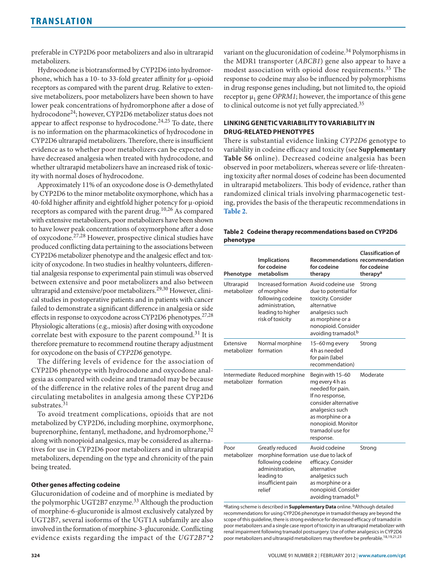preferable in CYP2D6 poor metabolizers and also in ultrarapid metabolizers.

Hydrocodone is biotransformed by CYP2D6 into hydromorphone, which has a 10- to 33-fold greater affinity for μ-opioid receptors as compared with the parent drug. Relative to extensive metabolizers, poor metabolizers have been shown to have lower peak concentrations of hydromorphone after a dose of hydrocodone24; however, CYP2D6 metabolizer status does not appear to affect response to hydrocodone.<sup>24,25</sup> To date, there is no information on the pharmacokinetics of hydrocodone in CYP2D6 ultrarapid metabolizers. Therefore, there is insufficient evidence as to whether poor metabolizers can be expected to have decreased analgesia when treated with hydrocodone, and whether ultrarapid metabolizers have an increased risk of toxicity with normal doses of hydrocodone.

Approximately 11% of an oxycodone dose is *O*-demethylated by CYP2D6 to the minor metabolite oxymorphone, which has a 40-fold higher affinity and eightfold higher potency for µ-opioid receptors as compared with the parent drug.<sup>10,26</sup> As compared with extensive metabolizers, poor metabolizers have been shown to have lower peak concentrations of oxymorphone after a dose of oxycodone.27,28 However, prospective clinical studies have produced conflicting data pertaining to the associations between CYP2D6 metabolizer phenotype and the analgesic effect and toxicity of oxycodone. In two studies in healthy volunteers, differential analgesia response to experimental pain stimuli was observed between extensive and poor metabolizers and also between ultrarapid and extensive/poor metabolizers.29,30 However, clinical studies in postoperative patients and in patients with cancer failed to demonstrate a significant difference in analgesia or side effects in response to oxycodone across CYP2D6 phenotypes.<sup>27,28</sup> Physiologic alterations (e.g., miosis) after dosing with oxycodone correlate best with exposure to the parent compound.<sup>31</sup> It is therefore premature to recommend routine therapy adjustment for oxycodone on the basis of *CYP2D6* genotype.

The differing levels of evidence for the association of CYP2D6 phenotype with hydrocodone and oxycodone analgesia as compared with codeine and tramadol may be because of the difference in the relative roles of the parent drug and circulating metabolites in analgesia among these CYP2D6 substrates.<sup>31</sup>

To avoid treatment complications, opioids that are not metabolized by CYP2D6, including morphine, oxymorphone, buprenorphine, fentanyl, methadone, and hydromorphone,<sup>32</sup> along with nonopioid analgesics, may be considered as alternatives for use in CYP2D6 poor metabolizers and in ultrarapid metabolizers, depending on the type and chronicity of the pain being treated.

## **Other genes affecting codeine**

Glucuronidation of codeine and of morphine is mediated by the polymorphic UGT2B7 enzyme.<sup>33</sup> Although the production of morphine-6-glucuronide is almost exclusively catalyzed by UGT2B7, several isoforms of the UGT1A subfamily are also involved in the formation of morphine-3-glucuronide. Conflicting evidence exists regarding the impact of the *UGT2B7\*2* variant on the glucuronidation of codeine.<sup>34</sup> Polymorphisms in the MDR1 transporter (*ABCB1*) gene also appear to have a modest association with opioid dose requirements.35 The response to codeine may also be influenced by polymorphisms in drug response genes including, but not limited to, the opioid receptor  $\mu_1$  gene *OPRM1*; however, the importance of this gene to clinical outcome is not yet fully appreciated.<sup>35</sup>

## **Linking Genetic Variability To Variability in Drug-Related Phenotypes**

There is substantial evidence linking *CYP2D6* genotype to variability in codeine efficacy and toxicity (see **Supplementary Table S6** online). Decreased codeine analgesia has been observed in poor metabolizers, whereas severe or life-threatening toxicity after normal doses of codeine has been documented in ultrarapid metabolizers. This body of evidence, rather than randomized clinical trials involving pharmacogenetic testing, provides the basis of the therapeutic recommendations in **[Table](#page-3-0) 2**.

<span id="page-3-0"></span>

|           | Table 2 Codeine therapy recommendations based on CYP2D6 |
|-----------|---------------------------------------------------------|
| phenotype |                                                         |

| Phenotype                 | <b>Implications</b><br>for codeine<br>metabolism                                                                                      | <b>Recommendations recommendation</b><br>for codeine<br>therapy                                                                                                                                  | <b>Classification of</b><br>for codeine<br>therapy <sup>a</sup> |
|---------------------------|---------------------------------------------------------------------------------------------------------------------------------------|--------------------------------------------------------------------------------------------------------------------------------------------------------------------------------------------------|-----------------------------------------------------------------|
| Ultrarapid<br>metabolizer | Increased formation Avoid codeine use<br>of morphine<br>following codeine<br>administration,<br>leading to higher<br>risk of toxicity | due to potential for<br>toxicity. Consider<br>alternative<br>analgesics such<br>as morphine or a<br>nonopioid. Consider<br>avoiding tramadol. <sup>b</sup>                                       | Strong                                                          |
| Extensive<br>metabolizer  | Normal morphine<br>formation                                                                                                          | 15-60 mg every<br>4h as needed<br>for pain (label<br>recommendation)                                                                                                                             | Strong                                                          |
| metabolizer               | Intermediate Reduced morphine<br>formation                                                                                            | Begin with 15-60<br>mg every 4 h as<br>needed for pain.<br>If no response,<br>consider alternative<br>analgesics such<br>as morphine or a<br>nonopioid. Monitor<br>tramadol use for<br>response. | Moderate                                                        |
| Poor<br>metabolizer       | Greatly reduced<br>morphine formation<br>following codeine<br>administration,<br>leading to<br>insufficient pain<br>relief            | Avoid codeine<br>use due to lack of<br>efficacy. Consider<br>alternative<br>analgesics such<br>as morphine or a<br>nonopioid. Consider<br>avoiding tramadol. <sup>b</sup>                        | Strong                                                          |

<sup>a</sup>Rating scheme is described in **Supplementary Data** online. <sup>b</sup>Although detailed recommendations for using CYP2D6 phenotype in tramadol therapy are beyond the scope of this guideline, there is strong evidence for decreased efficacy of tramadol in poor metabolizers and a single case report of toxicity in an ultrarapid metabolizer with renal impairment following tramadol postsurgery. Use of other analgesics in CYP2D6 poor metabolizers and ultrarapid metabolizers may therefore be preferable.18,19,21,23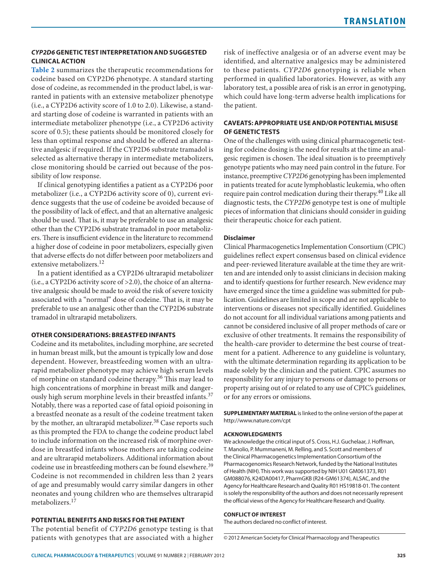# *Cyp2d6* **Genetic Test Interpretation and Suggested Clinical Action**

**[Table](#page-3-0) 2** summarizes the therapeutic recommendations for codeine based on CYP2D6 phenotype. A standard starting dose of codeine, as recommended in the product label, is warranted in patients with an extensive metabolizer phenotype (i.e., a CYP2D6 activity score of 1.0 to 2.0). Likewise, a standard starting dose of codeine is warranted in patients with an intermediate metabolizer phenotype (i.e., a CYP2D6 activity score of 0.5); these patients should be monitored closely for less than optimal response and should be offered an alternative analgesic if required. If the CYP2D6 substrate tramadol is selected as alternative therapy in intermediate metabolizers, close monitoring should be carried out because of the possibility of low response.

If clinical genotyping identifies a patient as a CYP2D6 poor metabolizer (i.e., a CYP2D6 activity score of 0), current evidence suggests that the use of codeine be avoided because of the possibility of lack of effect, and that an alternative analgesic should be used. That is, it may be preferable to use an analgesic other than the CYP2D6 substrate tramadol in poor metabolizers. There is insufficient evidence in the literature to recommend a higher dose of codeine in poor metabolizers, especially given that adverse effects do not differ between poor metabolizers and extensive metabolizers.<sup>12</sup>

In a patient identified as a CYP2D6 ultrarapid metabolizer (i.e., a CYP2D6 activity score of >2.0), the choice of an alternative analgesic should be made to avoid the risk of severe toxicity associated with a "normal" dose of codeine. That is, it may be preferable to use an analgesic other than the CYP2D6 substrate tramadol in ultrarapid metabolizers.

# **Other Considerations: Breastfed Infants**

Codeine and its metabolites, including morphine, are secreted in human breast milk, but the amount is typically low and dose dependent. However, breastfeeding women with an ultrarapid metabolizer phenotype may achieve high serum levels of morphine on standard codeine therapy.36 This may lead to high concentrations of morphine in breast milk and dangerously high serum morphine levels in their breastfed infants.<sup>37</sup> Notably, there was a reported case of fatal opioid poisoning in a breastfed neonate as a result of the codeine treatment taken by the mother, an ultrarapid metabolizer.<sup>38</sup> Case reports such as this prompted the FDA to change the codeine product label to include information on the increased risk of morphine overdose in breastfed infants whose mothers are taking codeine and are ultrarapid metabolizers. Additional information about codeine use in breastfeeding mothers can be found elsewhere.<sup>39</sup> Codeine is not recommended in children less than 2 years of age and presumably would carry similar dangers in other neonates and young children who are themselves ultrarapid metabolizers.<sup>17</sup>

# **Potential Benefits and Risks For the Patient**

The potential benefit of *CYP2D6* genotype testing is that patients with genotypes that are associated with a higher risk of ineffective analgesia or of an adverse event may be identified, and alternative analgesics may be administered to these patients. *CYP2D6* genotyping is reliable when performed in qualified laboratories. However, as with any laboratory test, a possible area of risk is an error in genotyping, which could have long-term adverse health implications for the patient.

# **Caveats: Appropriate Use and/Or Potential Misuse of Genetic Tests**

One of the challenges with using clinical pharmacogenetic testing for codeine dosing is the need for results at the time an analgesic regimen is chosen. The ideal situation is to preemptively genotype patients who may need pain control in the future. For instance, preemptive *CYP2D6* genotyping has been implemented in patients treated for acute lymphoblastic leukemia, who often require pain control medication during their therapy.<sup>40</sup> Like all diagnostic tests, the *CYP2D6* genotype test is one of multiple pieces of information that clinicians should consider in guiding their therapeutic choice for each patient.

## **Disclaimer**

Clinical Pharmacogenetics Implementation Consortium (CPIC) guidelines reflect expert consensus based on clinical evidence and peer-reviewed literature available at the time they are written and are intended only to assist clinicians in decision making and to identify questions for further research. New evidence may have emerged since the time a guideline was submitted for publication. Guidelines are limited in scope and are not applicable to interventions or diseases not specifically identified. Guidelines do not account for all individual variations among patients and cannot be considered inclusive of all proper methods of care or exclusive of other treatments. It remains the responsibility of the health-care provider to determine the best course of treatment for a patient. Adherence to any guideline is voluntary, with the ultimate determination regarding its application to be made solely by the clinician and the patient. CPIC assumes no responsibility for any injury to persons or damage to persons or property arising out of or related to any use of CPIC's guidelines, or for any errors or omissions.

**SUPPLEMENTARY MATERIAL** is linked to the online version of the paper at <http://www.nature.com/cpt>

## **Acknowledgments**

We acknowledge the critical input of S. Cross, H.J. Guchelaar, J. Hoffman, T. Manolio, P. Mummaneni, M. Relling, and S. Scott and members of the Clinical Pharmacogenetics Implementation Consortium of the Pharmacogenomics Research Network, funded by the National Institutes of Health (NIH). This work was supported by NIH U01 GM061373, R01 GM088076, K24DA00417, PharmGKB (R24-GM61374), ALSAC, and the Agency for Healthcare Research and Quality R01 HS19818-01. The content is solely the responsibility of the authors and does not necessarily represent the official views of the Agency for Healthcare Research and Quality.

#### **Conflict of Interest**

The authors declared no conflict of interest.

<sup>© 2012</sup> American Society for Clinical Pharmacology and Therapeutics